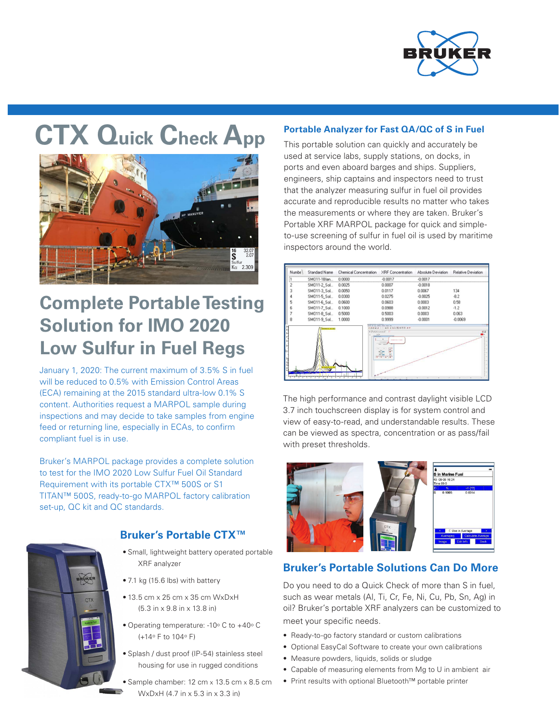

# **CTX Quick Check App**



## **Complete Portable Testing Solution for IMO 2020 Low Sulfur in Fuel Regs**

January 1, 2020: The current maximum of 3.5% S in fuel will be reduced to 0.5% with Emission Control Areas (ECA) remaining at the 2015 standard ultra-low 0.1% S content. Authorities request a MARPOL sample during inspections and may decide to take samples from engine feed or returning line, especially in ECAs, to confirm compliant fuel is in use.

Bruker's MARPOL package provides a complete solution to test for the IMO 2020 Low Sulfur Fuel Oil Standard Requirement with its portable CTX™ 500S or S1 TITAN™ 500S, ready-to-go MARPOL factory calibration set-up, QC kit and QC standards.



#### **Bruker's Portable CTX™**

- Small, lightweight battery operated portable XRF analyzer
- 7.1 kg (15.6 lbs) with battery
- 13.5 cm x 25 cm x 35 cm WxDxH (5.3 in x 9.8 in x 13.8 in)
- Operating temperature: -10° C to +40° C (+14o F to 104o F)
- Splash / dust proof (IP-54) stainless steel housing for use in rugged conditions
- Sample chamber: 12 cm x 13.5 cm x 8.5 cm WxDxH (4.7 in x 5.3 in x 3.3 in)

#### **Portable Analyzer for Fast QA/QC of S in Fuel**

This portable solution can quickly and accurately be used at service labs, supply stations, on docks, in ports and even aboard barges and ships. Suppliers, engineers, ship captains and inspectors need to trust that the analyzer measuring sulfur in fuel oil provides accurate and reproducible results no matter who takes the measurements or where they are taken. Bruker's Portable XRF MARPOL package for quick and simpleto-use screening of sulfur in fuel oil is used by maritime inspectors around the world.

| Numbe <sup>1</sup> | Standard Name                  | <b>Chemical Concentration</b> | XRF Concentration                                                                                                                                       | Absolute Deviation | Relative Deviation |
|--------------------|--------------------------------|-------------------------------|---------------------------------------------------------------------------------------------------------------------------------------------------------|--------------------|--------------------|
|                    | SM011-1Blan                    | 0.0000                        | $-0.0017$                                                                                                                                               | $-0.0017$          |                    |
|                    | SM011-2 Sol                    | 0.0025                        | 0.0007                                                                                                                                                  | $-0.0018$          |                    |
|                    | SM011-3_Sol                    | 0.0050                        | 0.0117                                                                                                                                                  | 0.0067             | 134                |
|                    | SM011-5_Sol                    | 0.0300                        | 0.0275                                                                                                                                                  | $-0.0025$          | $-8.2$             |
|                    | SM011-6_Sol                    | 0.0600                        | 0.0603                                                                                                                                                  | 0.0003             | 0.58               |
|                    | SM011-7_Sol                    | 0.1000                        | 0.0988                                                                                                                                                  | $-0.0012$          | $-1.2$             |
|                    | SM011-8 Sol                    | 0.5000                        | 0.5003                                                                                                                                                  | 0.0003             | 0.063              |
|                    | SM011-9_Sol                    | 1.0000                        | 0.9999                                                                                                                                                  | $-0.0001$          | $-0.0069$          |
|                    | <b>STATISTICS</b> IN 1877-1889 |                               | <b>NE DING COX 44 11 / 4 DNND</b><br>0 B A A (Announced IT IT<br>×<br><b>Service Control Control</b><br>List Greenwich<br>$-14x$<br>œ<br><b>8181918</b> |                    | 图目                 |

The high performance and contrast daylight visible LCD 3.7 inch touchscreen display is for system control and view of easy-to-read, and understandable results. These can be viewed as spectra, concentration or as pass/fail with preset thresholds.



#### **Bruker's Portable Solutions Can Do More**

Do you need to do a Quick Check of more than S in fuel, such as wear metals (Al, Ti, Cr, Fe, Ni, Cu, Pb, Sn, Ag) in oil? Bruker's portable XRF analyzers can be customized to meet your specific needs.

- Ready-to-go factory standard or custom calibrations
- Optional EasyCal Software to create your own calibrations
- Measure powders, liquids, solids or sludge
- Capable of measuring elements from Mg to U in ambient air
- Print results with optional Bluetooth™ portable printer